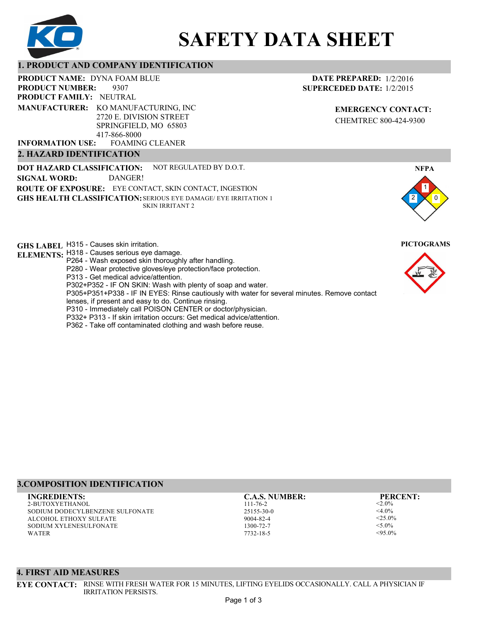

# **SAFETY DATA SHEET**

### **1. PRODUCT AND COMPANY IDENTIFICATION**

PRODUCT NAME: DYNA FOAM BLUE

9307 **PRODUCT FAMILY: NEUTRAL PRODUCT NUMBER: MANUFACTURER:** KO MANUFACTURING, INC 2720 E. DIVISION STREET

SPRINGFIELD, MO 65803 417-866-8000

FOAMING CLEANER **INFORMATION USE:**

# **2. HAZARD IDENTIFICATION**

**DOT HAZARD CLASSIFICATION: GHS HEALTH CLASSIFICATION:** SERIOUS EYE DAMAGE/ EYE IRRITATION 1 **ROUTE OF EXPOSURE:** EYE CONTACT, SKIN CONTACT, INGESTION NOT REGULATED BY D.O.T. SKIN IRRITANT 2 **SIGNAL WORD:** DANGER!

**GHS LABEL**  H315 - Causes skin irritation. **PICTOGRAMS**

- **ELEMENTS:** H318 Causes serious eye damage. P264 - Wash exposed skin thoroughly after handling.
	- P280 Wear protective gloves/eye protection/face protection.
	- P313 Get medical advice/attention.
	- P302+P352 IF ON SKIN: Wash with plenty of soap and water.

P305+P351+P338 - IF IN EYES: Rinse cautiously with water for several minutes. Remove contact

- lenses, if present and easy to do. Continue rinsing.
- P310 Immediately call POISON CENTER or doctor/physician.
- P332+ P313 If skin irritation occurs: Get medical advice/attention.
- P362 Take off contaminated clothing and wash before reuse.

### **DATE PREPARED:** 1/2/2016 **SUPERCEDED DATE:** 1/2/2015

**EMERGENCY CONTACT:** CHEMTREC 800-424-9300





## **3.COMPOSITION IDENTIFICATION**

2-BUTOXYETHANOL SODIUM DODECYLBENZENE SULFONATE ALCOHOL ETHOXY SULFATE SODIUM XYLENESULFONATE WATER **INGREDIENTS: C.A.S. NUMBER: PERCENT:**

111-76-2 25155-30-0 9004-82-4 1300-72-7 7732-18-5

 $< 2.0\%$  $<$ 4.0%  $<$ 25.0%  $<$ 5.0%  $< 95.0\%$ 

#### **4. FIRST AID MEASURES**

**EYE CONTACT:** RINSE WITH FRESH WATER FOR 15 MINUTES, LIFTING EYELIDS OCCASIONALLY. CALL A PHYSICIAN IF IRRITATION PERSISTS.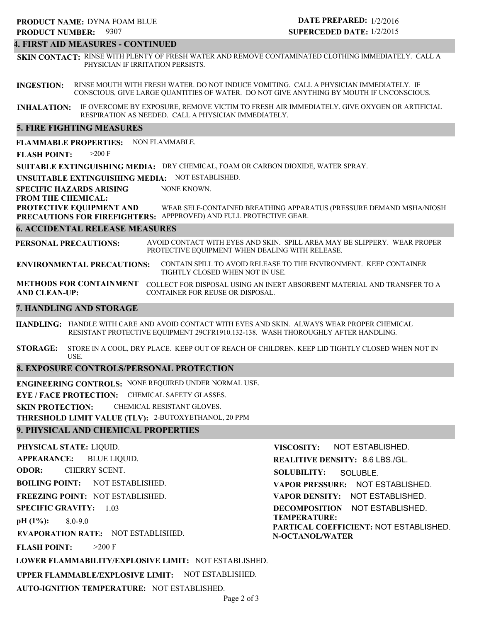#### **4. FIRST AID MEASURES - CONTINUED**

**SKIN CONTACT:** RINSE WITH PLENTY OF FRESH WATER AND REMOVE CONTAMINATED CLOTHING IMMEDIATELY. CALL A PHYSICIAN IF IRRITATION PERSISTS.

**INGESTION:** RINSE MOUTH WITH FRESH WATER. DO NOT INDUCE VOMITING. CALL A PHYSICIAN IMMEDIATELY. IF CONSCIOUS, GIVE LARGE QUANTITIES OF WATER. DO NOT GIVE ANYTHING BY MOUTH IF UNCONSCIOUS.

**INHALATION:** IF OVERCOME BY EXPOSURE, REMOVE VICTIM TO FRESH AIR IMMEDIATELY. GIVE OXYGEN OR ARTIFICIAL RESPIRATION AS NEEDED. CALL A PHYSICIAN IMMEDIATELY.

#### **5. FIRE FIGHTING MEASURES**

**FLAMMABLE PROPERTIES:** NON FLAMMABLE.

**FLASH POINT:** >200 F

**SUITABLE EXTINGUISHING MEDIA:** DRY CHEMICAL, FOAM OR CARBON DIOXIDE, WATER SPRAY.

**UNSUITABLE EXTINGUISHING MEDIA:** NOT ESTABLISHED.

**SPECIFIC HAZARDS ARISING** NONE KNOWN.

#### **FROM THE CHEMICAL:**

**PROTECTIVE EQUIPMENT AND PRECAUTIONS FOR FIREFIGHTERS:** APPPROVED) AND FULL PROTECTIVE GEAR. WEAR SELF-CONTAINED BREATHING APPARATUS (PRESSURE DEMAND MSHA/NIOSH

#### **6. ACCIDENTAL RELEASE MEASURES**

**PERSONAL PRECAUTIONS:** AVOID CONTACT WITH EYES AND SKIN. SPILL AREA MAY BE SLIPPERY. WEAR PROPER PROTECTIVE EQUIPMENT WHEN DEALING WITH RELEASE.

**ENVIRONMENTAL PRECAUTIONS:** CONTAIN SPILL TO AVOID RELEASE TO THE ENVIRONMENT. KEEP CONTAINER TIGHTLY CLOSED WHEN NOT IN USE.

**METHODS FOR CONTAINMENT** COLLECT FOR DISPOSAL USING AN INERT ABSORBENT MATERIAL AND TRANSFER TO A **AND CLEAN-UP:** CONTAINER FOR REUSE OR DISPOSAL.

#### **7. HANDLING AND STORAGE**

**HANDLING:** HANDLE WITH CARE AND AVOID CONTACT WITH EYES AND SKIN. ALWAYS WEAR PROPER CHEMICAL RESISTANT PROTECTIVE EQUIPMENT 29CFR1910.132-138. WASH THOROUGHLY AFTER HANDLING.

**STORAGE:** STORE IN A COOL, DRY PLACE. KEEP OUT OF REACH OF CHILDREN. KEEP LID TIGHTLY CLOSED WHEN NOT IN USE.

#### **8. EXPOSURE CONTROLS/PERSONAL PROTECTION**

**ENGINEERING CONTROLS:** NONE REQUIRED UNDER NORMAL USE.

**EYE / FACE PROTECTION:** CHEMICAL SAFETY GLASSES.

**SKIN PROTECTION:** CHEMICAL RESISTANT GLOVES.

**THRESHOLD LIMIT VALUE (TLV):** 2-BUTOXYETHANOL, 20 PPM

#### **9. PHYSICAL AND CHEMICAL PROPERTIES**

**PHYSICAL STATE:** LIQUID. **APPEARANCE: ODOR: BOILING POINT:** NOT ESTABLISHED. **FREEZING POINT:** NOT ESTABLISHED. **SPECIFIC GRAVITY:** 1.03 **pH (1%): EVAPORATION RATE:** NOT ESTABLISHED. **FLASH POINT: LOWER FLAMMABILITY/EXPLOSIVE LIMIT:** NOT ESTABLISHED. **UPPER FLAMMABLE/EXPLOSIVE LIMIT:** NOT ESTABLISHED. 8.0-9.0  $>200$  F BLUE LIQUID. CHERRY SCENT. **VISCOSITY: REALITIVE DENSITY:** 8.6 LBS./GL. **SOLUBILITY: VAPOR PRESSURE:** NOT ESTABLISHED. **VAPOR DENSITY:** NOT ESTABLISHED. **DECOMPOSITION** NOT ESTABLISHED. **TEMPERATURE: PARTICAL COEFFICIENT:** NOT ESTABLISHED. **N-OCTANOL/WATER** NOT ESTABLISHED. SOLUBLE.

**AUTO-IGNITION TEMPERATURE:** NOT ESTABLISHED.